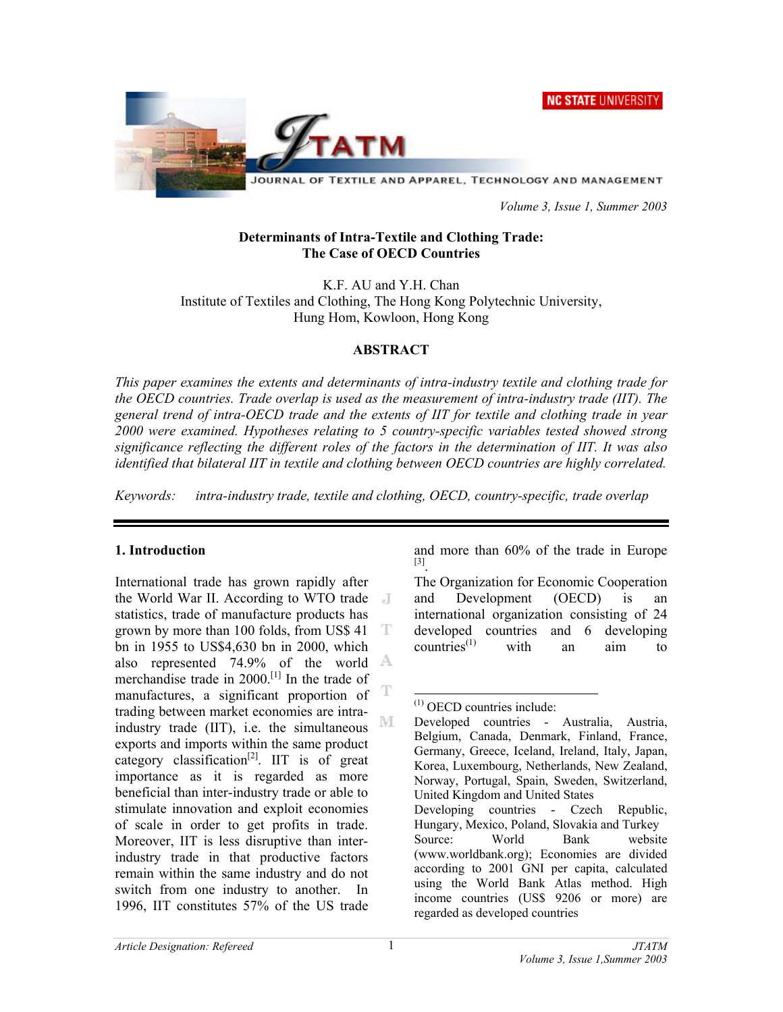**NC STATE UNIVERSITY** 



 *Volume 3, Issue 1, Summer 2003* 

#### **Determinants of Intra-Textile and Clothing Trade: The Case of OECD Countries**

K.F. AU and Y.H. Chan Institute of Textiles and Clothing, The Hong Kong Polytechnic University, Hung Hom, Kowloon, Hong Kong

#### **ABSTRACT**

*This paper examines the extents and determinants of intra-industry textile and clothing trade for the OECD countries. Trade overlap is used as the measurement of intra-industry trade (IIT). The general trend of intra-OECD trade and the extents of IIT for textile and clothing trade in year 2000 were examined. Hypotheses relating to 5 country-specific variables tested showed strong significance reflecting the different roles of the factors in the determination of IIT. It was also identified that bilateral IIT in textile and clothing between OECD countries are highly correlated.* 

*Keywords: intra-industry trade, textile and clothing, OECD, country-specific, trade overlap* 

### **1. Introduction**

International trade has grown rapidly after the World War II. According to WTO trade statistics, trade of manufacture products has grown by more than 100 folds, from US\$ 41 T bn in 1955 to US\$4,630 bn in 2000, which also represented 74.9% of the world  $\triangle$ merchandise trade in 2000.[1] In the trade of manufactures, a significant proportion of trading between market economies are intra-M industry trade (IIT), i.e. the simultaneous exports and imports within the same product category classification<sup>[2]</sup>. IIT is of great importance as it is regarded as more beneficial than inter-industry trade or able to stimulate innovation and exploit economies of scale in order to get profits in trade. Moreover, IIT is less disruptive than interindustry trade in that productive factors remain within the same industry and do not switch from one industry to another. In 1996, IIT constitutes 57% of the US trade

and more than 60% of the trade in Europe [3].

The Organization for Economic Cooperation and Development (OECD) is an international organization consisting of 24 developed countries and 6 developing  $countries<sup>(1)</sup>$  with an aim to

 $\overline{a}$ (1) OECD countries include:

Developed countries - Australia, Austria, Belgium, Canada, Denmark, Finland, France, Germany, Greece, Iceland, Ireland, Italy, Japan, Korea, Luxembourg, Netherlands, New Zealand, Norway, Portugal, Spain, Sweden, Switzerland, United Kingdom and United States Developing countries - Czech Republic, Hungary, Mexico, Poland, Slovakia and Turkey Source: World Bank website (www.worldbank.org); Economies are divided according to 2001 GNI per capita, calculated using the World Bank Atlas method. High income countries (US\$ 9206 or more) are regarded as developed countries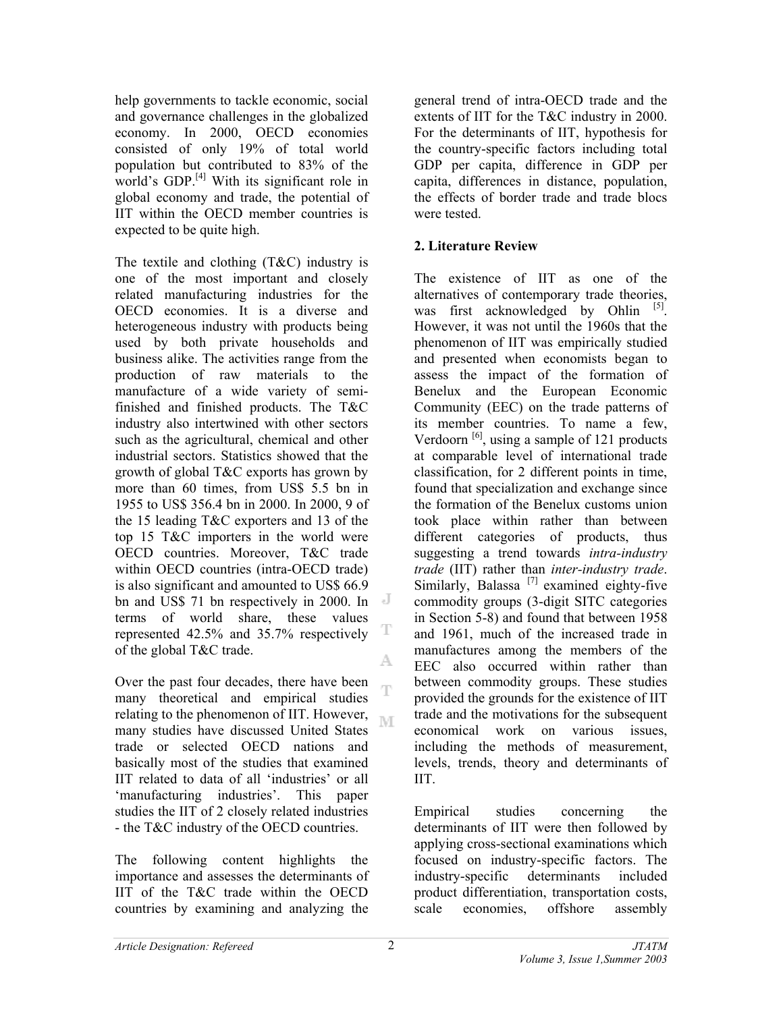help governments to tackle economic, social and governance challenges in the globalized economy. In 2000, OECD economies consisted of only 19% of total world population but contributed to 83% of the world's GDP. $^{[4]}$  With its significant role in global economy and trade, the potential of IIT within the OECD member countries is expected to be quite high.

The textile and clothing (T&C) industry is one of the most important and closely related manufacturing industries for the OECD economies. It is a diverse and heterogeneous industry with products being used by both private households and business alike. The activities range from the production of raw materials to the manufacture of a wide variety of semifinished and finished products. The T&C industry also intertwined with other sectors such as the agricultural, chemical and other industrial sectors. Statistics showed that the growth of global T&C exports has grown by more than 60 times, from US\$ 5.5 bn in 1955 to US\$ 356.4 bn in 2000. In 2000, 9 of the 15 leading T&C exporters and 13 of the top 15 T&C importers in the world were OECD countries. Moreover, T&C trade within OECD countries (intra-OECD trade) is also significant and amounted to US\$ 66.9 bn and US\$ 71 bn respectively in 2000. In terms of world share, these values represented 42.5% and 35.7% respectively of the global T&C trade. A

Over the past four decades, there have been ηy many theoretical and empirical studies relating to the phenomenon of IIT. However, M many studies have discussed United States trade or selected OECD nations and basically most of the studies that examined IIT related to data of all 'industries' or all 'manufacturing industries'. This paper studies the IIT of 2 closely related industries - the T&C industry of the OECD countries.

The following content highlights the importance and assesses the determinants of IIT of the T&C trade within the OECD countries by examining and analyzing the

general trend of intra-OECD trade and the extents of IIT for the T&C industry in 2000. For the determinants of IIT, hypothesis for the country-specific factors including total GDP per capita, difference in GDP per capita, differences in distance, population, the effects of border trade and trade blocs were tested.

# **2. Literature Review**

The existence of IIT as one of the alternatives of contemporary trade theories, was first acknowledged by Ohlin  $[5]$ . However, it was not until the 1960s that the phenomenon of IIT was empirically studied and presented when economists began to assess the impact of the formation of Benelux and the European Economic Community (EEC) on the trade patterns of its member countries. To name a few, Verdoorn  $\begin{bmatrix} 6 \end{bmatrix}$ , using a sample of 121 products at comparable level of international trade classification, for 2 different points in time, found that specialization and exchange since the formation of the Benelux customs union took place within rather than between different categories of products, thus suggesting a trend towards *intra-industry trade* (IIT) rather than *inter-industry trade*. Similarly, Balassa  $^{[7]}$  examined eighty-five commodity groups (3-digit SITC categories in Section 5-8) and found that between 1958 and 1961, much of the increased trade in manufactures among the members of the EEC also occurred within rather than between commodity groups. These studies provided the grounds for the existence of IIT trade and the motivations for the subsequent economical work on various issues, including the methods of measurement, levels, trends, theory and determinants of IIT.

Empirical studies concerning the determinants of IIT were then followed by applying cross-sectional examinations which focused on industry-specific factors. The industry-specific determinants included product differentiation, transportation costs, scale economies, offshore assembly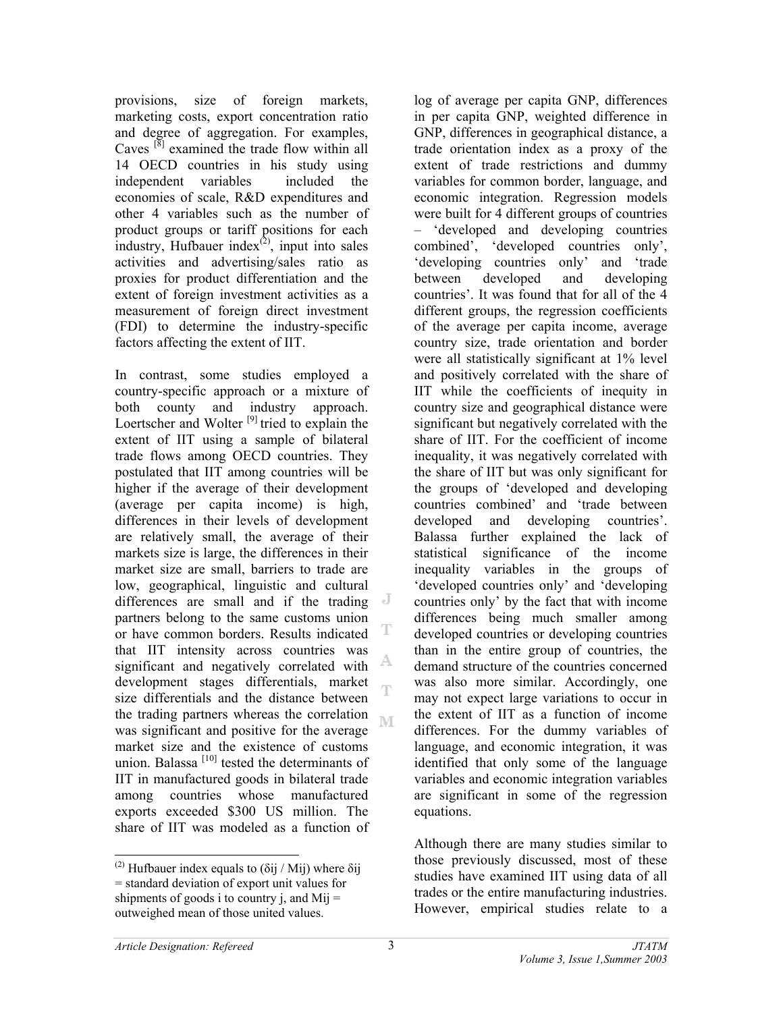provisions, size of foreign markets, marketing costs, export concentration ratio and degree of aggregation. For examples, Caves  $\left[\begin{array}{c} \mathbf{8} \\ \mathbf{8} \end{array}\right]$  examined the trade flow within all 14 OECD countries in his study using independent variables included the economies of scale, R&D expenditures and other 4 variables such as the number of product groups or tariff positions for each industry, Hufbauer index $(2)$ , input into sales activities and advertising/sales ratio as proxies for product differentiation and the extent of foreign investment activities as a measurement of foreign direct investment (FDI) to determine the industry-specific factors affecting the extent of IIT.

In contrast, some studies employed a country-specific approach or a mixture of both county and industry approach. Loertscher and Wolter  $^{[9]}$  tried to explain the extent of IIT using a sample of bilateral trade flows among OECD countries. They postulated that IIT among countries will be higher if the average of their development (average per capita income) is high, differences in their levels of development are relatively small, the average of their markets size is large, the differences in their market size are small, barriers to trade are low, geographical, linguistic and cultural differences are small and if the trading partners belong to the same customs union T or have common borders. Results indicated that IIT intensity across countries was A, significant and negatively correlated with development stages differentials, market Ŧ size differentials and the distance between the trading partners whereas the correlation M was significant and positive for the average market size and the existence of customs union. Balassa  $[10]$  tested the determinants of IIT in manufactured goods in bilateral trade among countries whose manufactured exports exceeded \$300 US million. The share of IIT was modeled as a function of

 $(2)$  Hufbauer index equals to (δij / Mij) where δij = standard deviation of export unit values for shipments of goods i to country j, and  $Mij =$ outweighed mean of those united values.

log of average per capita GNP, differences in per capita GNP, weighted difference in GNP, differences in geographical distance, a trade orientation index as a proxy of the extent of trade restrictions and dummy variables for common border, language, and economic integration. Regression models were built for 4 different groups of countries – 'developed and developing countries combined', 'developed countries only', 'developing countries only' and 'trade between developed and developing countries'. It was found that for all of the 4 different groups, the regression coefficients of the average per capita income, average country size, trade orientation and border were all statistically significant at 1% level and positively correlated with the share of IIT while the coefficients of inequity in country size and geographical distance were significant but negatively correlated with the share of IIT. For the coefficient of income inequality, it was negatively correlated with the share of IIT but was only significant for the groups of 'developed and developing countries combined' and 'trade between developed and developing countries'. Balassa further explained the lack of statistical significance of the income inequality variables in the groups of 'developed countries only' and 'developing countries only' by the fact that with income differences being much smaller among developed countries or developing countries than in the entire group of countries, the demand structure of the countries concerned was also more similar. Accordingly, one may not expect large variations to occur in the extent of IIT as a function of income differences. For the dummy variables of language, and economic integration, it was identified that only some of the language variables and economic integration variables are significant in some of the regression equations.

Although there are many studies similar to those previously discussed, most of these studies have examined IIT using data of all trades or the entire manufacturing industries. However, empirical studies relate to a

 $\overline{a}$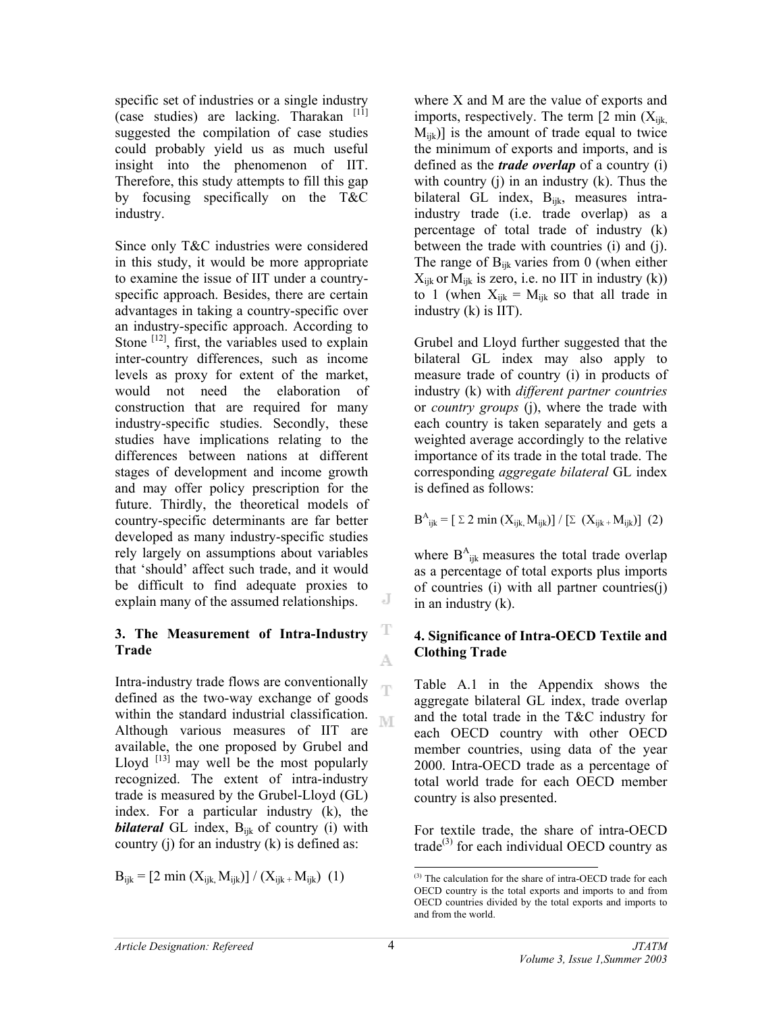specific set of industries or a single industry (case studies) are lacking. Tharakan  $[11]$ suggested the compilation of case studies could probably yield us as much useful insight into the phenomenon of IIT. Therefore, this study attempts to fill this gap by focusing specifically on the T&C industry.

Since only T&C industries were considered in this study, it would be more appropriate to examine the issue of IIT under a countryspecific approach. Besides, there are certain advantages in taking a country-specific over an industry-specific approach. According to Stone  $[12]$ , first, the variables used to explain inter-country differences, such as income levels as proxy for extent of the market, would not need the elaboration of construction that are required for many industry-specific studies. Secondly, these studies have implications relating to the differences between nations at different stages of development and income growth and may offer policy prescription for the future. Thirdly, the theoretical models of country-specific determinants are far better developed as many industry-specific studies rely largely on assumptions about variables that 'should' affect such trade, and it would be difficult to find adequate proxies to explain many of the assumed relationships.

#### **3. The Measurement of Intra-Industry Trade**

Intra-industry trade flows are conventionally defined as the two-way exchange of goods within the standard industrial classification. M Although various measures of IIT are available, the one proposed by Grubel and Lloyd  $^{[13]}$  may well be the most popularly recognized. The extent of intra-industry trade is measured by the Grubel-Lloyd (GL) index. For a particular industry (k), the **bilateral** GL index, B<sub>ijk</sub> of country (i) with country  $(i)$  for an industry  $(k)$  is defined as:

 $B_{ijk} = [2 \text{ min } (X_{ijk}, M_{ijk})] / (X_{ijk} + M_{ijk})$  (1)

where X and M are the value of exports and imports, respectively. The term  $[2 \text{ min } (X_{ijk})]$  $M_{ijk}$ ] is the amount of trade equal to twice the minimum of exports and imports, and is defined as the *trade overlap* of a country (i) with country  $(j)$  in an industry  $(k)$ . Thus the bilateral GL index, B<sub>ijk</sub>, measures intraindustry trade (i.e. trade overlap) as a percentage of total trade of industry (k) between the trade with countries (i) and (j). The range of  $B_{iik}$  varies from 0 (when either  $X_{ijk}$  or  $M_{ijk}$  is zero, i.e. no IIT in industry (k)) to 1 (when  $X_{ijk} = M_{ijk}$  so that all trade in industry (k) is IIT).

Grubel and Lloyd further suggested that the bilateral GL index may also apply to measure trade of country (i) in products of industry (k) with *different partner countries* or *country groups* (j), where the trade with each country is taken separately and gets a weighted average accordingly to the relative importance of its trade in the total trade. The corresponding *aggregate bilateral* GL index is defined as follows:

 $B^{A}{}_{ijk} = [\ \Sigma \ 2 \ \text{min} \ (X_{ijk}, M_{ijk})] / [\ \Sigma \ (X_{ijk} + M_{ijk})] \ (2)$ 

where  $B_{ijk}^A$  measures the total trade overlap as a percentage of total exports plus imports of countries (i) with all partner countries(j) in an industry (k).

### **4. Significance of Intra-OECD Textile and Clothing Trade**

Table A.1 in the Appendix shows the aggregate bilateral GL index, trade overlap and the total trade in the T&C industry for each OECD country with other OECD member countries, using data of the year 2000. Intra-OECD trade as a percentage of total world trade for each OECD member country is also presented.

For textile trade, the share of intra-OECD trade<sup>(3)</sup> for each individual OECD country as

J

T

A.

Ť

 $\overline{a}$ (3) The calculation for the share of intra-OECD trade for each OECD country is the total exports and imports to and from OECD countries divided by the total exports and imports to and from the world.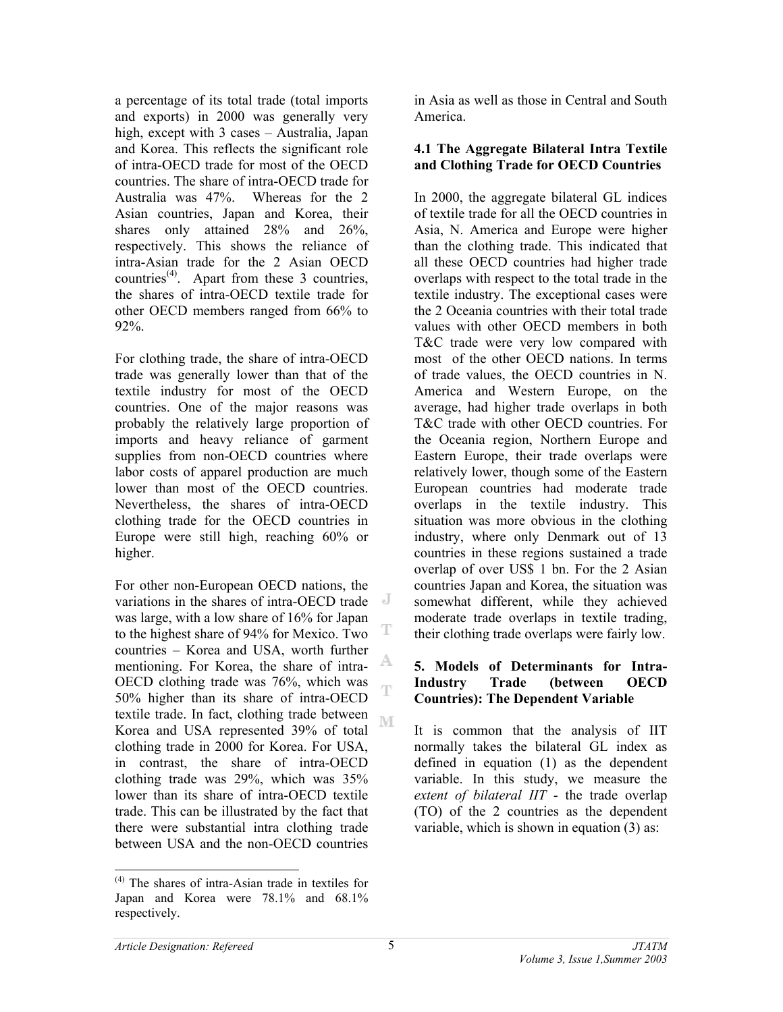a percentage of its total trade (total imports and exports) in 2000 was generally very high, except with 3 cases – Australia, Japan and Korea. This reflects the significant role of intra-OECD trade for most of the OECD countries. The share of intra-OECD trade for Australia was 47%. Whereas for the 2 Asian countries, Japan and Korea, their shares only attained 28% and 26%, respectively. This shows the reliance of intra-Asian trade for the 2 Asian OECD countries<sup> $(4)$ </sup>. Apart from these 3 countries, the shares of intra-OECD textile trade for other OECD members ranged from 66% to 92%.

For clothing trade, the share of intra-OECD trade was generally lower than that of the textile industry for most of the OECD countries. One of the major reasons was probably the relatively large proportion of imports and heavy reliance of garment supplies from non-OECD countries where labor costs of apparel production are much lower than most of the OECD countries. Nevertheless, the shares of intra-OECD clothing trade for the OECD countries in Europe were still high, reaching 60% or higher.

For other non-European OECD nations, the variations in the shares of intra-OECD trade was large, with a low share of 16% for Japan to the highest share of 94% for Mexico. Two countries – Korea and USA, worth further A mentioning. For Korea, the share of intra-OECD clothing trade was 76%, which was Ŧ 50% higher than its share of intra-OECD textile trade. In fact, clothing trade between M Korea and USA represented 39% of total clothing trade in 2000 for Korea. For USA, in contrast, the share of intra-OECD clothing trade was 29%, which was 35% lower than its share of intra-OECD textile trade. This can be illustrated by the fact that there were substantial intra clothing trade between USA and the non-OECD countries

in Asia as well as those in Central and South America.

### **4.1 The Aggregate Bilateral Intra Textile and Clothing Trade for OECD Countries**

In 2000, the aggregate bilateral GL indices of textile trade for all the OECD countries in Asia, N. America and Europe were higher than the clothing trade. This indicated that all these OECD countries had higher trade overlaps with respect to the total trade in the textile industry. The exceptional cases were the 2 Oceania countries with their total trade values with other OECD members in both T&C trade were very low compared with most of the other OECD nations. In terms of trade values, the OECD countries in N. America and Western Europe, on the average, had higher trade overlaps in both T&C trade with other OECD countries. For the Oceania region, Northern Europe and Eastern Europe, their trade overlaps were relatively lower, though some of the Eastern European countries had moderate trade overlaps in the textile industry. This situation was more obvious in the clothing industry, where only Denmark out of 13 countries in these regions sustained a trade overlap of over US\$ 1 bn. For the 2 Asian countries Japan and Korea, the situation was somewhat different, while they achieved moderate trade overlaps in textile trading, their clothing trade overlaps were fairly low.

#### **5. Models of Determinants for Intra-Industry Trade (between OECD Countries): The Dependent Variable**

It is common that the analysis of IIT normally takes the bilateral GL index as defined in equation (1) as the dependent variable. In this study, we measure the *extent of bilateral IIT* - the trade overlap (TO) of the 2 countries as the dependent variable, which is shown in equation (3) as:

l

T

<sup>(4)</sup> The shares of intra-Asian trade in textiles for Japan and Korea were 78.1% and 68.1% respectively.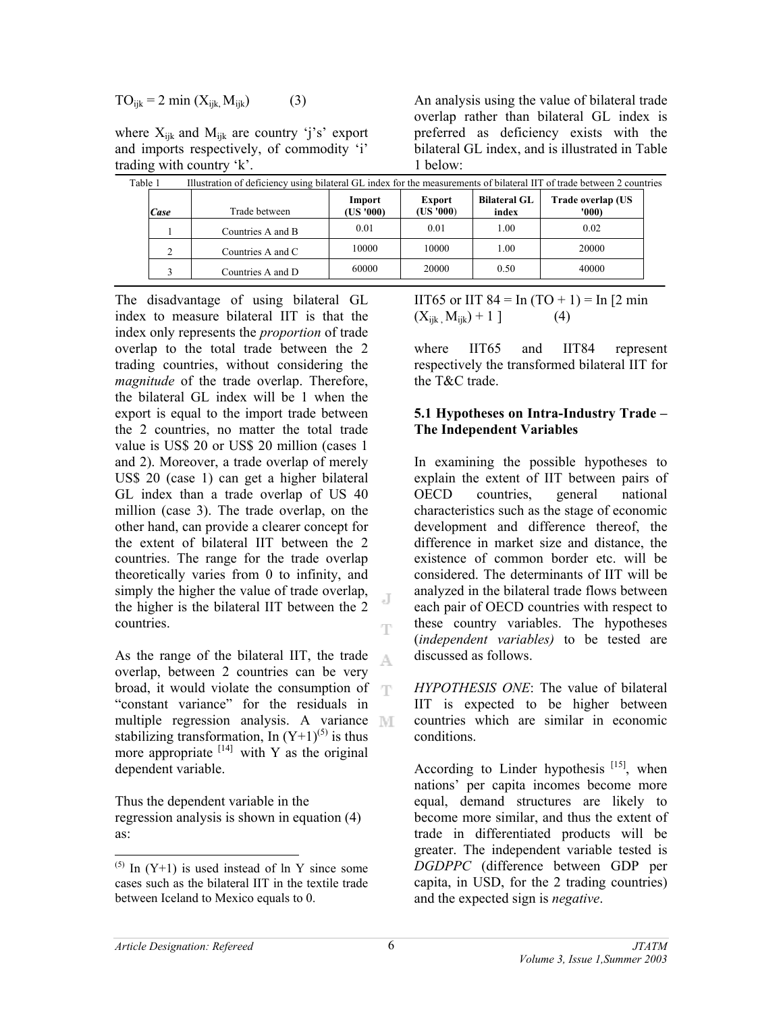$$
TO_{ijk} = 2 \min (X_{ijk}, M_{ijk}) \tag{3}
$$

where  $X_{ijk}$  and  $M_{ijk}$  are country 'j's' export and imports respectively, of commodity 'i' trading with country 'k'.

| Table 1       | Illustration of deficiency using bilateral GL index for the measurements of bilateral IIT of trade between 2 countries |                     |                           |                              |                           |
|---------------|------------------------------------------------------------------------------------------------------------------------|---------------------|---------------------------|------------------------------|---------------------------|
| Case          | Trade between                                                                                                          | Import<br>(US '000) | <b>Export</b><br>(US'000) | <b>Bilateral GL</b><br>index | Trade overlap (US<br>'000 |
|               | Countries A and B                                                                                                      | 0.01                | 0.01                      | 1.00                         | 0.02                      |
| $\mathcal{L}$ | Countries A and C                                                                                                      | 10000               | 10000                     | 1.00                         | 20000                     |
| $\rightarrow$ | Countries A and D                                                                                                      | 60000               | 20000                     | 0.50                         | 40000                     |

1 below:

The disadvantage of using bilateral GL index to measure bilateral IIT is that the index only represents the *proportion* of trade overlap to the total trade between the 2 trading countries, without considering the *magnitude* of the trade overlap. Therefore, the bilateral GL index will be 1 when the export is equal to the import trade between the 2 countries, no matter the total trade value is US\$ 20 or US\$ 20 million (cases 1 and 2). Moreover, a trade overlap of merely US\$ 20 (case 1) can get a higher bilateral GL index than a trade overlap of US 40 million (case 3). The trade overlap, on the other hand, can provide a clearer concept for the extent of bilateral IIT between the 2 countries. The range for the trade overlap theoretically varies from 0 to infinity, and simply the higher the value of trade overlap, the higher is the bilateral IIT between the 2 countries.

As the range of the bilateral IIT, the trade A. overlap, between 2 countries can be very broad, it would violate the consumption of "constant variance" for the residuals in multiple regression analysis. A variance MI stabilizing transformation, In  $(Y+1)^{(5)}$  is thus more appropriate  $[14]$  with Y as the original dependent variable.

Thus the dependent variable in the regression analysis is shown in equation (4) as:

IIT65 or IIT 84 = In  $(TO + 1)$  = In  $[2 \text{ min}$  $(X_{iik}, M_{iik}) + 1$  ] (4)

An analysis using the value of bilateral trade overlap rather than bilateral GL index is preferred as deficiency exists with the bilateral GL index, and is illustrated in Table

where IIT65 and IIT84 represent respectively the transformed bilateral IIT for the T&C trade.

#### **5.1 Hypotheses on Intra-Industry Trade – The Independent Variables**

In examining the possible hypotheses to explain the extent of IIT between pairs of OECD countries, general national characteristics such as the stage of economic development and difference thereof, the difference in market size and distance, the existence of common border etc. will be considered. The determinants of IIT will be analyzed in the bilateral trade flows between each pair of OECD countries with respect to these country variables. The hypotheses (*independent variables)* to be tested are discussed as follows.

*HYPOTHESIS ONE*: The value of bilateral IIT is expected to be higher between countries which are similar in economic conditions.

According to Linder hypothesis  $[15]$ , when nations' per capita incomes become more equal, demand structures are likely to become more similar, and thus the extent of trade in differentiated products will be greater. The independent variable tested is *DGDPPC* (difference between GDP per capita, in USD, for the 2 trading countries) and the expected sign is *negative*.

 $\overline{a}$ 

J

T

 $^{(5)}$  In (Y+1) is used instead of ln Y since some cases such as the bilateral IIT in the textile trade between Iceland to Mexico equals to 0.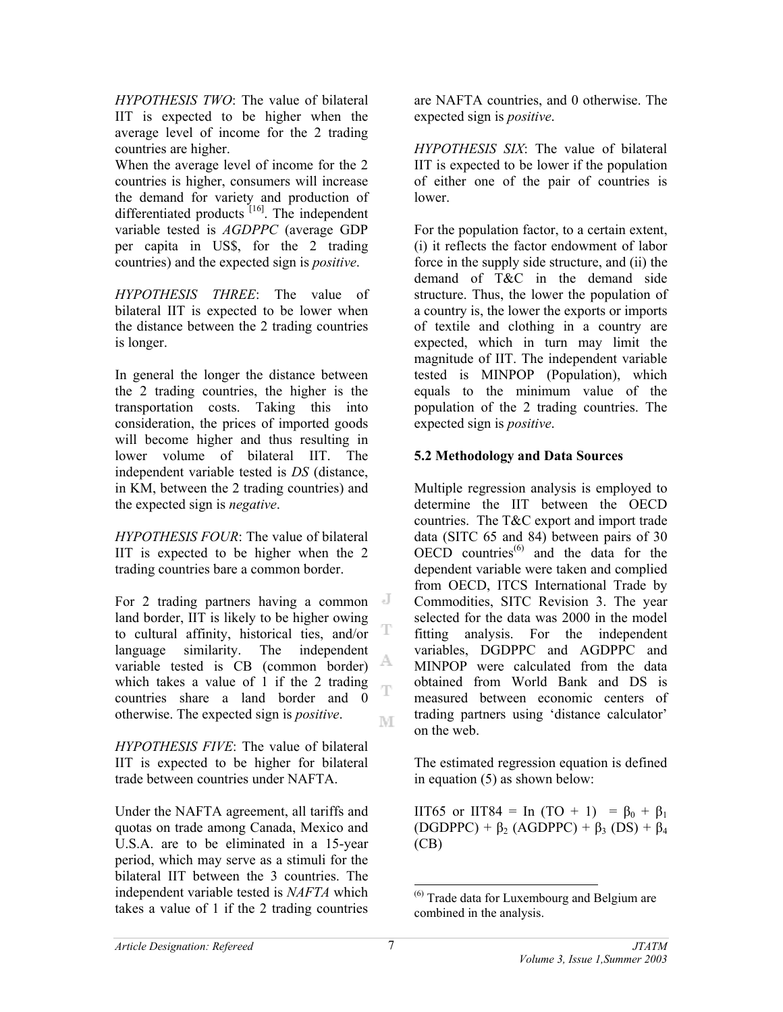*HYPOTHESIS TWO*: The value of bilateral IIT is expected to be higher when the average level of income for the 2 trading countries are higher.

When the average level of income for the 2 countries is higher, consumers will increase the demand for variety and production of differentiated products [16]. The independent variable tested is *AGDPPC* (average GDP per capita in US\$, for the 2 trading countries) and the expected sign is *positive*.

*HYPOTHESIS THREE*: The value of bilateral IIT is expected to be lower when the distance between the 2 trading countries is longer.

In general the longer the distance between the 2 trading countries, the higher is the transportation costs. Taking this into consideration, the prices of imported goods will become higher and thus resulting in lower volume of bilateral IIT. The independent variable tested is *DS* (distance, in KM, between the 2 trading countries) and the expected sign is *negative*.

*HYPOTHESIS FOUR*: The value of bilateral IIT is expected to be higher when the 2 trading countries bare a common border.

For 2 trading partners having a common land border, IIT is likely to be higher owing T to cultural affinity, historical ties, and/or language similarity. The independent A variable tested is CB (common border) which takes a value of 1 if the 2 trading Ŧ countries share a land border and 0 otherwise. The expected sign is *positive*. M

*HYPOTHESIS FIVE*: The value of bilateral IIT is expected to be higher for bilateral trade between countries under NAFTA.

Under the NAFTA agreement, all tariffs and quotas on trade among Canada, Mexico and U.S.A. are to be eliminated in a 15-year period, which may serve as a stimuli for the bilateral IIT between the 3 countries. The independent variable tested is *NAFTA* which takes a value of 1 if the 2 trading countries

are NAFTA countries, and 0 otherwise. The expected sign is *positive*.

*HYPOTHESIS SIX*: The value of bilateral IIT is expected to be lower if the population of either one of the pair of countries is lower.

For the population factor, to a certain extent, (i) it reflects the factor endowment of labor force in the supply side structure, and (ii) the demand of T&C in the demand side structure. Thus, the lower the population of a country is, the lower the exports or imports of textile and clothing in a country are expected, which in turn may limit the magnitude of IIT. The independent variable tested is MINPOP (Population), which equals to the minimum value of the population of the 2 trading countries. The expected sign is *positive*.

### **5.2 Methodology and Data Sources**

Multiple regression analysis is employed to determine the IIT between the OECD countries. The T&C export and import trade data (SITC 65 and 84) between pairs of 30 OECD countries $^{(6)}$  and the data for the dependent variable were taken and complied from OECD, ITCS International Trade by Commodities, SITC Revision 3. The year selected for the data was 2000 in the model fitting analysis. For the independent variables, DGDPPC and AGDPPC and MINPOP were calculated from the data obtained from World Bank and DS is measured between economic centers of trading partners using 'distance calculator' on the web.

The estimated regression equation is defined in equation (5) as shown below:

IIT65 or IIT84 = In (TO + 1) =  $β_0 + β_1$  $(DGDPPC) + \beta_2 (AGDPPC) + \beta_3 (DS) + \beta_4$ (CB)

 $\overline{a}$ 

<sup>(6)</sup> Trade data for Luxembourg and Belgium are combined in the analysis.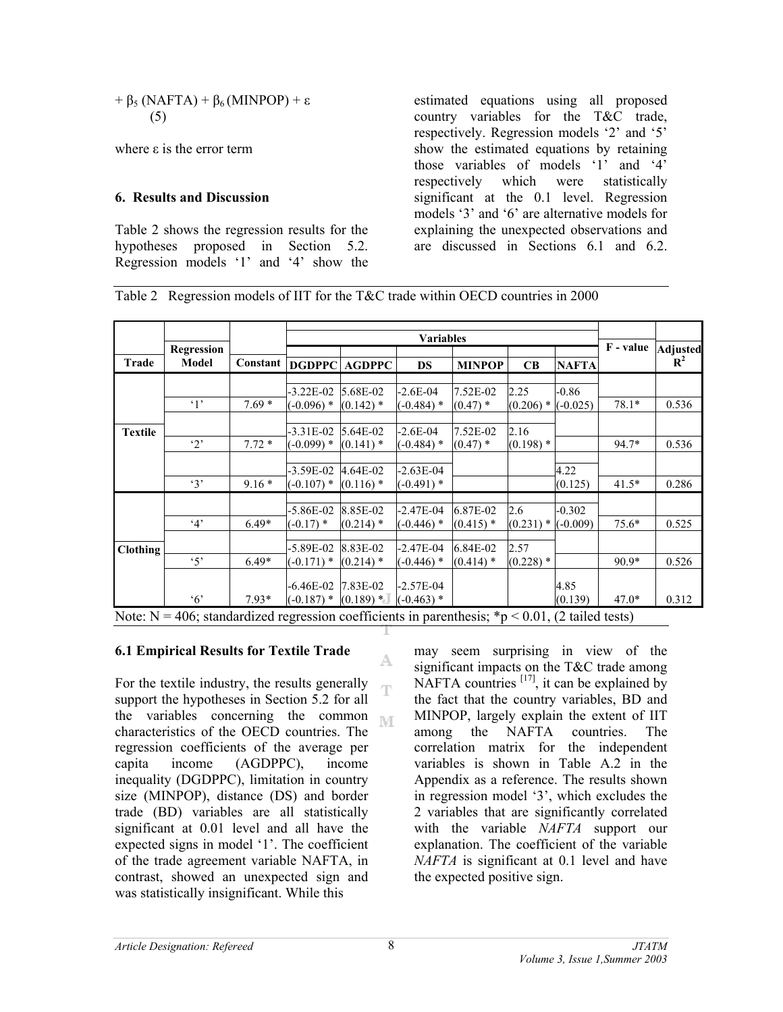$$
+\beta_5 \left( \text{NAFTA}\right) + \beta_6 \left( \text{MINPOP}\right) + \varepsilon
$$
  
(5)

where ε is the error term

### **6. Results and Discussion**

Table 2 shows the regression results for the hypotheses proposed in Section 5.2. Regression models '1' and '4' show the estimated equations using all proposed country variables for the T&C trade, respectively. Regression models '2' and '5' show the estimated equations by retaining those variables of models '1' and '4' respectively which were statistically significant at the 0.1 level. Regression models '3' and '6' are alternative models for explaining the unexpected observations and are discussed in Sections 6.1 and 6.2.

Table 2 Regression models of IIT for the T&C trade within OECD countries in 2000

|                |                     |          |                           |                      | <b>Variables</b>            |               |             |              |           |                            |
|----------------|---------------------|----------|---------------------------|----------------------|-----------------------------|---------------|-------------|--------------|-----------|----------------------------|
| Trade          | Regression<br>Model | Constant |                           | <b>DGDPPC AGDPPC</b> | <b>DS</b>                   | <b>MINPOP</b> | CB          | <b>NAFTA</b> | F - value | Adjusted<br>$\mathbf{R}^2$ |
|                |                     |          |                           |                      |                             |               |             |              |           |                            |
|                |                     |          | $-3.22E - 02$             | 5.68E-02             | $-2.6E - 04$                | 7.52E-02      | 2.25        | $-0.86$      |           |                            |
|                | $\cdot$ 1'          | $7.69*$  | $(-0.096)$ *              | $(0.142)$ *          | $(-0.484)$ *                | $(0.47)$ *    | $(0.206)$ * | $(-0.025)$   | $78.1*$   | 0.536                      |
|                |                     |          |                           |                      |                             |               |             |              |           |                            |
| <b>Textile</b> |                     |          | $-3.31E-02$               | $5.64E-02$           | $-2.6E-04$                  | 7.52E-02      | 2.16        |              |           |                            |
|                | $\cdot$ 2'          | $7.72*$  | $(-0.099)$ *              | $(0.141)$ *          | $(-0.484)$ *                | $(0.47)$ *    | $(0.198)$ * |              | 94.7*     | 0.536                      |
|                |                     |          | $-3.59E-02$               | 4.64E-02             | $-2.63E-04$                 |               |             | 4.22         |           |                            |
|                | 3'                  | $9.16*$  | $(-0.107)$ *              | $(0.116)$ *          | $(-0.491)$ *                |               |             | (0.125)      | $41.5*$   | 0.286                      |
|                |                     |          |                           |                      |                             |               |             |              |           |                            |
|                |                     |          | -5.86E-02                 | 8.85E-02             | $-2.47E-04$                 | 6.87E-02      | 2.6         | $-0.302$     |           |                            |
|                | 4'                  | $6.49*$  | $(-0.17)$ *               | $(0.214)$ *          | $(-0.446)$ *                | $(0.415)$ *   | $(0.231)$ * | $(-0.009)$   | $75.6*$   | 0.525                      |
| Clothing       |                     |          | $-5.89E-02$               | 8.83E-02             | $-2.47E-04$                 | 6.84E-02      | 2.57        |              |           |                            |
|                | $5^{\circ}$         | $6.49*$  | $(-0.171)$ *              | $(0.214)$ *          | $(-0.446)$ *                | $(0.414)$ *   | $(0.228)$ * |              | 90.9*     | 0.526                      |
|                |                     |          |                           | 7.83E-02             |                             |               |             | 4.85         |           |                            |
|                | $\cdot$ 6'          | $7.93*$  | -6.46E-02<br>$(-0.187)$ * | $(0.189)$ *          | $-2.57E-04$<br>$(-0.463)$ * |               |             | (0.139)      | $47.0*$   | 0.312                      |

A.

### **6.1 Empirical Results for Textile Trade**

For the textile industry, the results generally T support the hypotheses in Section 5.2 for all the variables concerning the common  $\mathbb{N} \cap \mathbb{F}$ characteristics of the OECD countries. The regression coefficients of the average per capita income (AGDPPC), income inequality (DGDPPC), limitation in country size (MINPOP), distance (DS) and border trade (BD) variables are all statistically significant at 0.01 level and all have the expected signs in model '1'. The coefficient of the trade agreement variable NAFTA, in contrast, showed an unexpected sign and was statistically insignificant. While this

may seem surprising in view of the significant impacts on the T&C trade among NAFTA countries  $[17]$ , it can be explained by the fact that the country variables, BD and MINPOP, largely explain the extent of IIT among the NAFTA countries. The correlation matrix for the independent variables is shown in Table A.2 in the Appendix as a reference. The results shown in regression model '3', which excludes the 2 variables that are significantly correlated with the variable *NAFTA* support our explanation. The coefficient of the variable *NAFTA* is significant at 0.1 level and have the expected positive sign.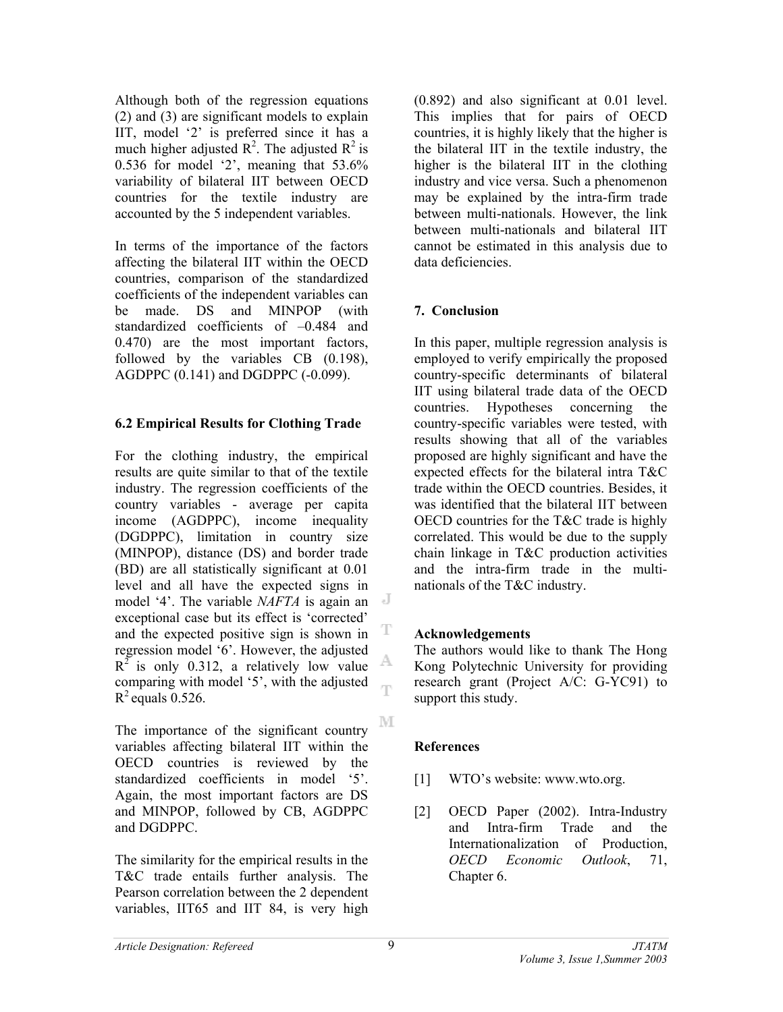Although both of the regression equations (2) and (3) are significant models to explain IIT, model '2' is preferred since it has a much higher adjusted  $\mathbb{R}^2$ . The adjusted  $\mathbb{R}^2$  is 0.536 for model '2', meaning that 53.6% variability of bilateral IIT between OECD countries for the textile industry are accounted by the 5 independent variables.

In terms of the importance of the factors affecting the bilateral IIT within the OECD countries, comparison of the standardized coefficients of the independent variables can be made. DS and MINPOP (with standardized coefficients of –0.484 and 0.470) are the most important factors, followed by the variables CB (0.198), AGDPPC (0.141) and DGDPPC (-0.099).

### **6.2 Empirical Results for Clothing Trade**

For the clothing industry, the empirical results are quite similar to that of the textile industry. The regression coefficients of the country variables - average per capita income (AGDPPC), income inequality (DGDPPC), limitation in country size (MINPOP), distance (DS) and border trade (BD) are all statistically significant at 0.01 level and all have the expected signs in model '4'. The variable *NAFTA* is again an exceptional case but its effect is 'corrected' T and the expected positive sign is shown in regression model '6'. However, the adjusted A  $R^2$  is only 0.312, a relatively low value comparing with model '5', with the adjusted ηñ  $R^2$  equals 0.526.

The importance of the significant country variables affecting bilateral IIT within the OECD countries is reviewed by the standardized coefficients in model '5'. Again, the most important factors are DS and MINPOP, followed by CB, AGDPPC and DGDPPC.

The similarity for the empirical results in the T&C trade entails further analysis. The Pearson correlation between the 2 dependent variables, IIT65 and IIT 84, is very high

(0.892) and also significant at 0.01 level. This implies that for pairs of OECD countries, it is highly likely that the higher is the bilateral IIT in the textile industry, the higher is the bilateral IIT in the clothing industry and vice versa. Such a phenomenon may be explained by the intra-firm trade between multi-nationals. However, the link between multi-nationals and bilateral IIT cannot be estimated in this analysis due to data deficiencies.

### **7. Conclusion**

In this paper, multiple regression analysis is employed to verify empirically the proposed country-specific determinants of bilateral IIT using bilateral trade data of the OECD countries. Hypotheses concerning the country-specific variables were tested, with results showing that all of the variables proposed are highly significant and have the expected effects for the bilateral intra T&C trade within the OECD countries. Besides, it was identified that the bilateral IIT between OECD countries for the T&C trade is highly correlated. This would be due to the supply chain linkage in T&C production activities and the intra-firm trade in the multinationals of the T&C industry.

### **Acknowledgements**

The authors would like to thank The Hong Kong Polytechnic University for providing research grant (Project A/C: G-YC91) to support this study.

### **References**

- [1] WTO's website: www.wto.org.
- [2] OECD Paper (2002). Intra-Industry and Intra-firm Trade and the Internationalization of Production, *OECD Economic Outlook*, 71, Chapter 6.

M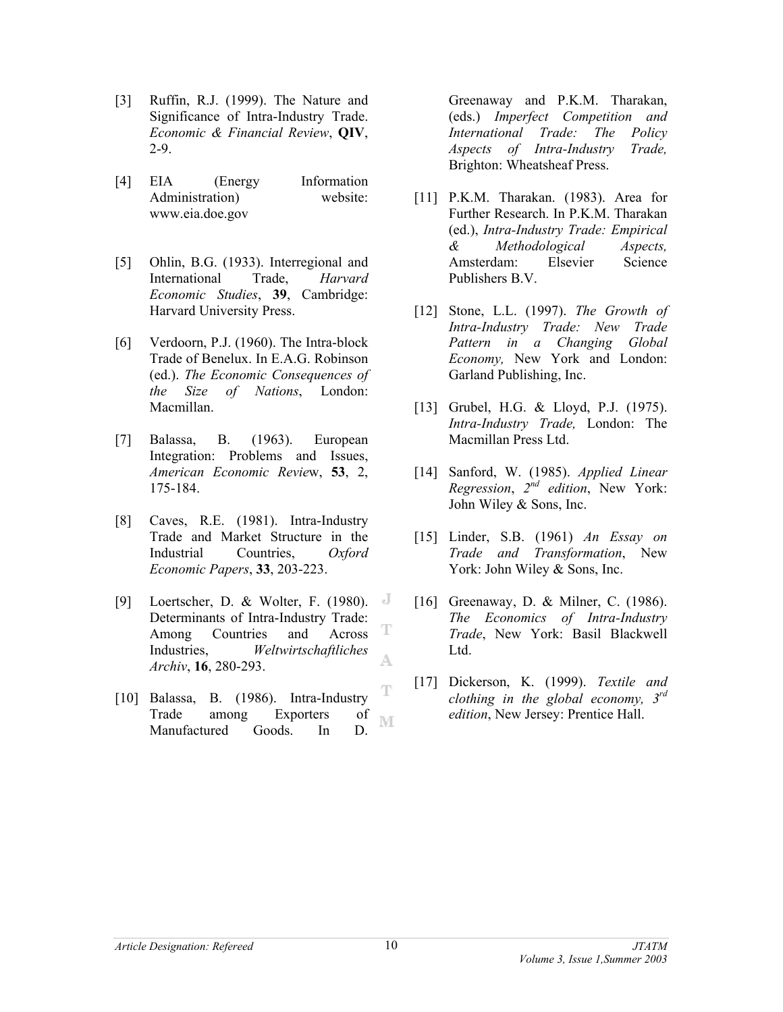- [3] Ruffin, R.J. (1999). The Nature and Significance of Intra-Industry Trade. *Economic & Financial Review*, **QIV**, 2-9.
- [4] EIA (Energy Information Administration) website: www.eia.doe.gov
- [5] Ohlin, B.G. (1933). Interregional and International Trade, *Harvard Economic Studies*, **39**, Cambridge: Harvard University Press.
- [6] Verdoorn, P.J. (1960). The Intra-block Trade of Benelux. In E.A.G. Robinson (ed.). *The Economic Consequences of the Size of Nations*, London: Macmillan.
- [7] Balassa, B. (1963). European Integration: Problems and Issues, *American Economic Revie*w, **53**, 2, 175-184.
- [8] Caves, R.E. (1981). Intra-Industry Trade and Market Structure in the Industrial Countries, *Oxford Economic Papers*, **33**, 203-223.
- [9] Loertscher, D. & Wolter, F. (1980). J Determinants of Intra-Industry Trade: T Among Countries and Across Industries, *Weltwirtschaftliches*  A *Archiv*, **16**, 280-293.
- T [10] Balassa, B. (1986). Intra-Industry Trade among Exporters of M Manufactured Goods. In D.

Greenaway and P.K.M. Tharakan, (eds.) *Imperfect Competition and International Trade: The Policy Aspects of Intra-Industry Trade,*  Brighton: Wheatsheaf Press.

- [11] P.K.M. Tharakan. (1983). Area for Further Research. In P.K.M. Tharakan (ed.), *Intra-Industry Trade: Empirical & Methodological Aspects,* Amsterdam: Elsevier Science Publishers B.V.
- [12] Stone, L.L. (1997). *The Growth of Intra-Industry Trade: New Trade Pattern in a Changing Global Economy,* New York and London: Garland Publishing, Inc.
- [13] Grubel, H.G. & Lloyd, P.J. (1975). *Intra-Industry Trade,* London: The Macmillan Press Ltd.
- [14] Sanford, W. (1985). *Applied Linear Regression*, *2nd edition*, New York: John Wiley & Sons, Inc.
- [15] Linder, S.B. (1961) *An Essay on Trade and Transformation*, New York: John Wiley & Sons, Inc.
- [16] Greenaway, D. & Milner, C. (1986). *The Economics of Intra-Industry Trade*, New York: Basil Blackwell Ltd.
- [17] Dickerson, K. (1999). *Textile and clothing in the global economy, 3rd edition*, New Jersey: Prentice Hall.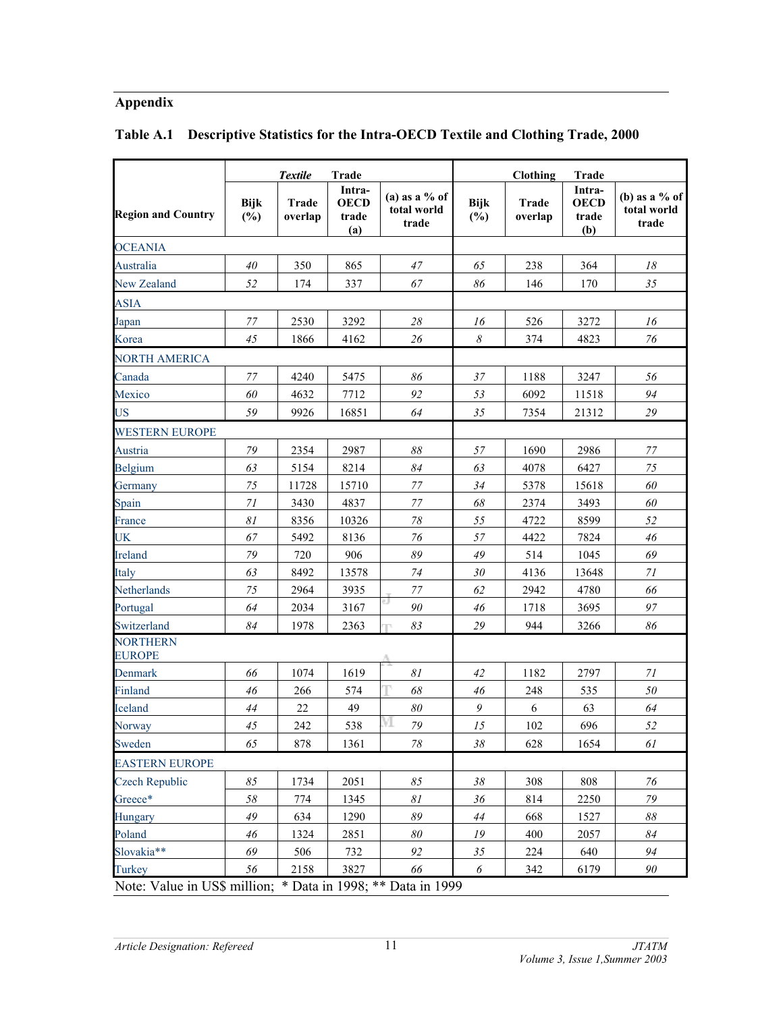# **Appendix**

|                                                              |                    | <b>Textile</b>   | <b>Trade</b>                          |                                         |                       | Clothing         | Trade                                 |                                         |
|--------------------------------------------------------------|--------------------|------------------|---------------------------------------|-----------------------------------------|-----------------------|------------------|---------------------------------------|-----------------------------------------|
| <b>Region and Country</b>                                    | <b>Bijk</b><br>(%) | Trade<br>overlap | Intra-<br><b>OECD</b><br>trade<br>(a) | (a) as a $%$ of<br>total world<br>trade | <b>Bijk</b><br>$(\%)$ | Trade<br>overlap | Intra-<br><b>OECD</b><br>trade<br>(b) | (b) as a $%$ of<br>total world<br>trade |
| <b>OCEANIA</b>                                               |                    |                  |                                       |                                         |                       |                  |                                       |                                         |
| Australia                                                    | 40                 | 350              | 865                                   | 47                                      | 65                    | 238              | 364                                   | 18                                      |
| New Zealand                                                  | 52                 | 174              | 337                                   | 67                                      | 86                    | 146              | 170                                   | 35                                      |
| <b>ASIA</b>                                                  |                    |                  |                                       |                                         |                       |                  |                                       |                                         |
| Japan                                                        | 77                 | 2530             | 3292                                  | 28                                      | 16                    | 526              | 3272                                  | 16                                      |
| Korea                                                        | 45                 | 1866             | 4162                                  | 26                                      | $\boldsymbol{\delta}$ | 374              | 4823                                  | 76                                      |
| NORTH AMERICA                                                |                    |                  |                                       |                                         |                       |                  |                                       |                                         |
| Canada                                                       | 77                 | 4240             | 5475                                  | 86                                      | 37                    | 1188             | 3247                                  | 56                                      |
| Mexico                                                       | 60                 | 4632             | 7712                                  | 92                                      | 53                    | 6092             | 11518                                 | 94                                      |
| US                                                           | 59                 | 9926             | 16851                                 | 64                                      | 35                    | 7354             | 21312                                 | $29\,$                                  |
| WESTERN EUROPE                                               |                    |                  |                                       |                                         |                       |                  |                                       |                                         |
| Austria                                                      | 79                 | 2354             | 2987                                  | $\delta\delta$                          | 57                    | 1690             | 2986                                  | 77                                      |
| Belgium                                                      | 63                 | 5154             | 8214                                  | 84                                      | 63                    | 4078             | 6427                                  | 75                                      |
| Germany                                                      | 75                 | 11728            | 15710                                 | 77                                      | 34                    | 5378             | 15618                                 | 60                                      |
| Spain                                                        | 71                 | 3430             | 4837                                  | 77                                      | 68                    | 2374             | 3493                                  | 60                                      |
| France                                                       | 81                 | 8356             | 10326                                 | $78\,$                                  | 55                    | 4722             | 8599                                  | 52                                      |
| UK                                                           | 67                 | 5492             | 8136                                  | 76                                      | 57                    | 4422             | 7824                                  | $46\,$                                  |
| <b>Ireland</b>                                               | 79                 | 720              | 906                                   | 89                                      | 49                    | 514              | 1045                                  | 69                                      |
| Italy                                                        | 63                 | 8492             | 13578                                 | 74                                      | $30\,$                | 4136             | 13648                                 | 71                                      |
| Netherlands                                                  | 75                 | 2964             | 3935                                  | $77\,$                                  | 62                    | 2942             | 4780                                  | 66                                      |
| Portugal                                                     | 64                 | 2034             | 3167                                  | $90\,$                                  | $46\,$                | 1718             | 3695                                  | 97                                      |
| Switzerland                                                  | 84                 | 1978             | 2363                                  | 83                                      | 29                    | 944              | 3266                                  | 86                                      |
| <b>NORTHERN</b><br><b>EUROPE</b>                             |                    |                  |                                       |                                         |                       |                  |                                       |                                         |
| Denmark                                                      | 66                 | 1074             | 1619                                  | 81                                      | 42                    | 1182             | 2797                                  | 71                                      |
| Finland                                                      | 46                 | 266              | 574                                   | 68                                      | 46                    | 248              | 535                                   | 50                                      |
| Iceland                                                      | 44                 | $22\,$           | 49                                    | $\boldsymbol{80}$                       | 9                     | 6                | 63                                    | 64                                      |
| Norway                                                       | 45                 | 242              | 538                                   | M<br>79                                 | 15                    | 102              | 696                                   | 52                                      |
| Sweden                                                       | 65                 | 878              | 1361                                  | 78                                      | 38                    | 628              | 1654                                  | 61                                      |
| <b>EASTERN EUROPE</b>                                        |                    |                  |                                       |                                         |                       |                  |                                       |                                         |
| <b>Czech Republic</b>                                        | 85                 | 1734             | 2051                                  | 85                                      | 38                    | 308              | 808                                   | 76                                      |
| Greece*                                                      | 58                 | 774              | 1345                                  | $\mathcal{S}1$                          | $36\,$                | 814              | 2250                                  | $79\,$                                  |
| Hungary                                                      | 49                 | 634              | 1290                                  | 89                                      | 44                    | 668              | 1527                                  | 88                                      |
| Poland                                                       | 46                 | 1324             | 2851                                  | $\boldsymbol{80}$                       | 19                    | 400              | 2057                                  | 84                                      |
| Slovakia**                                                   | 69                 | 506              | 732                                   | 92                                      | 35                    | 224              | 640                                   | 94                                      |
| Turkey                                                       | 56                 | 2158             | 3827                                  | 66                                      | $\boldsymbol{\delta}$ | 342              | 6179                                  | 90                                      |
| Note: Value in US\$ million; * Data in 1998; ** Data in 1999 |                    |                  |                                       |                                         |                       |                  |                                       |                                         |

# **Table A.1 Descriptive Statistics for the Intra-OECD Textile and Clothing Trade, 2000**